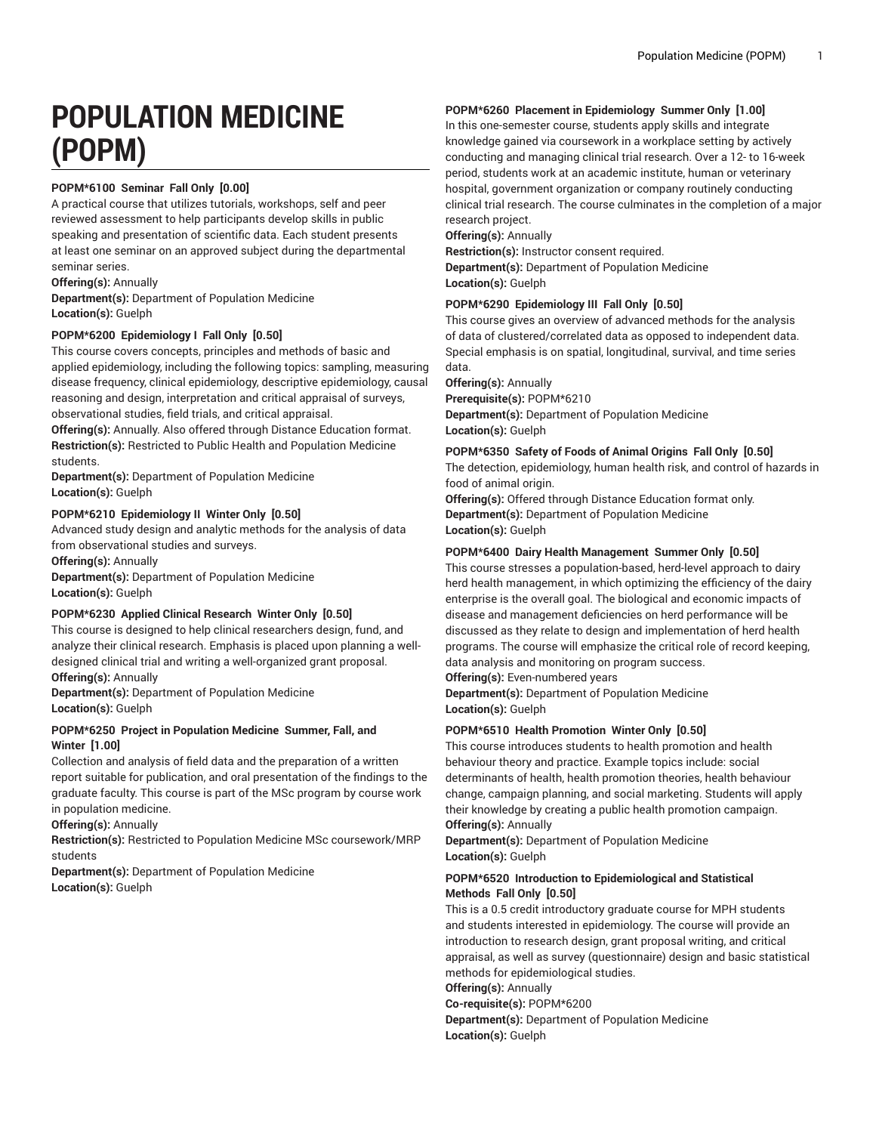# **POPULATION MEDICINE (POPM)**

# **POPM\*6100 Seminar Fall Only [0.00]**

A practical course that utilizes tutorials, workshops, self and peer reviewed assessment to help participants develop skills in public speaking and presentation of scientific data. Each student presents at least one seminar on an approved subject during the departmental seminar series.

**Offering(s):** Annually

**Department(s):** Department of Population Medicine **Location(s):** Guelph

# **POPM\*6200 Epidemiology I Fall Only [0.50]**

This course covers concepts, principles and methods of basic and applied epidemiology, including the following topics: sampling, measuring disease frequency, clinical epidemiology, descriptive epidemiology, causal reasoning and design, interpretation and critical appraisal of surveys, observational studies, field trials, and critical appraisal.

**Offering(s):** Annually. Also offered through Distance Education format. **Restriction(s):** Restricted to Public Health and Population Medicine students.

**Department(s):** Department of Population Medicine **Location(s):** Guelph

# **POPM\*6210 Epidemiology II Winter Only [0.50]**

Advanced study design and analytic methods for the analysis of data from observational studies and surveys.

**Offering(s):** Annually

**Department(s):** Department of Population Medicine **Location(s):** Guelph

## **POPM\*6230 Applied Clinical Research Winter Only [0.50]**

This course is designed to help clinical researchers design, fund, and analyze their clinical research. Emphasis is placed upon planning a welldesigned clinical trial and writing a well-organized grant proposal. **Offering(s):** Annually

**Department(s):** Department of Population Medicine **Location(s):** Guelph

## **POPM\*6250 Project in Population Medicine Summer, Fall, and Winter [1.00]**

Collection and analysis of field data and the preparation of a written report suitable for publication, and oral presentation of the findings to the graduate faculty. This course is part of the MSc program by course work in population medicine.

**Offering(s):** Annually

**Restriction(s):** Restricted to Population Medicine MSc coursework/MRP students

**Department(s):** Department of Population Medicine **Location(s):** Guelph

# **POPM\*6260 Placement in Epidemiology Summer Only [1.00]**

In this one-semester course, students apply skills and integrate knowledge gained via coursework in a workplace setting by actively conducting and managing clinical trial research. Over a 12- to 16-week period, students work at an academic institute, human or veterinary hospital, government organization or company routinely conducting clinical trial research. The course culminates in the completion of a major research project.

**Offering(s):** Annually **Restriction(s):** Instructor consent required.

**Department(s):** Department of Population Medicine **Location(s):** Guelph

## **POPM\*6290 Epidemiology III Fall Only [0.50]**

This course gives an overview of advanced methods for the analysis of data of clustered/correlated data as opposed to independent data. Special emphasis is on spatial, longitudinal, survival, and time series data.

**Offering(s):** Annually

**Prerequisite(s):** POPM\*6210 **Department(s):** Department of Population Medicine **Location(s):** Guelph

# **POPM\*6350 Safety of Foods of Animal Origins Fall Only [0.50]**

The detection, epidemiology, human health risk, and control of hazards in food of animal origin.

**Offering(s):** Offered through Distance Education format only. **Department(s):** Department of Population Medicine **Location(s):** Guelph

## **POPM\*6400 Dairy Health Management Summer Only [0.50]**

This course stresses a population-based, herd-level approach to dairy herd health management, in which optimizing the efficiency of the dairy enterprise is the overall goal. The biological and economic impacts of disease and management deficiencies on herd performance will be discussed as they relate to design and implementation of herd health programs. The course will emphasize the critical role of record keeping, data analysis and monitoring on program success.

**Offering(s):** Even-numbered years

**Department(s):** Department of Population Medicine **Location(s):** Guelph

## **POPM\*6510 Health Promotion Winter Only [0.50]**

This course introduces students to health promotion and health behaviour theory and practice. Example topics include: social determinants of health, health promotion theories, health behaviour change, campaign planning, and social marketing. Students will apply their knowledge by creating a public health promotion campaign. **Offering(s):** Annually

**Department(s):** Department of Population Medicine **Location(s):** Guelph

## **POPM\*6520 Introduction to Epidemiological and Statistical Methods Fall Only [0.50]**

This is a 0.5 credit introductory graduate course for MPH students and students interested in epidemiology. The course will provide an introduction to research design, grant proposal writing, and critical appraisal, as well as survey (questionnaire) design and basic statistical methods for epidemiological studies.

**Offering(s):** Annually

**Co-requisite(s):** POPM\*6200

**Department(s):** Department of Population Medicine **Location(s):** Guelph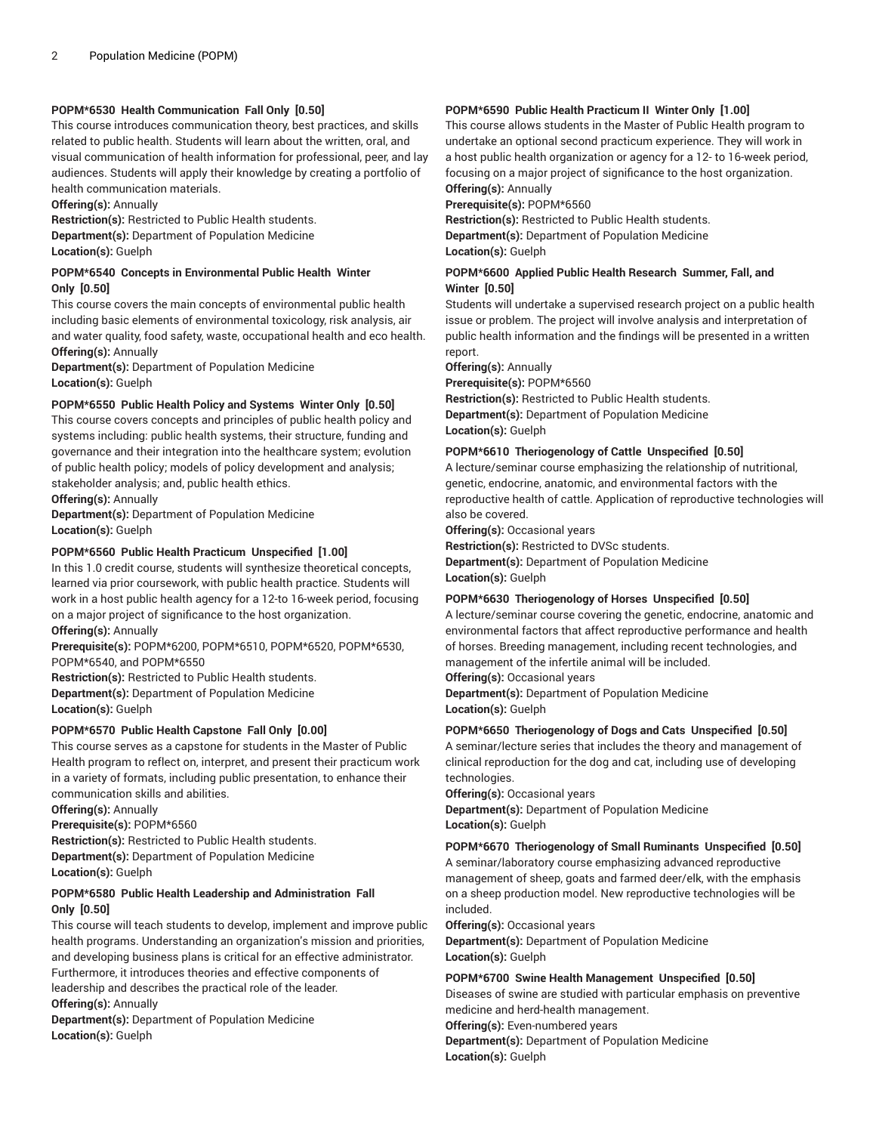## **POPM\*6530 Health Communication Fall Only [0.50]**

This course introduces communication theory, best practices, and skills related to public health. Students will learn about the written, oral, and visual communication of health information for professional, peer, and lay audiences. Students will apply their knowledge by creating a portfolio of health communication materials.

**Offering(s):** Annually

**Restriction(s):** Restricted to Public Health students. **Department(s):** Department of Population Medicine **Location(s):** Guelph

#### **POPM\*6540 Concepts in Environmental Public Health Winter Only [0.50]**

This course covers the main concepts of environmental public health including basic elements of environmental toxicology, risk analysis, air and water quality, food safety, waste, occupational health and eco health. **Offering(s):** Annually

**Department(s):** Department of Population Medicine **Location(s):** Guelph

### **POPM\*6550 Public Health Policy and Systems Winter Only [0.50]**

This course covers concepts and principles of public health policy and systems including: public health systems, their structure, funding and governance and their integration into the healthcare system; evolution of public health policy; models of policy development and analysis; stakeholder analysis; and, public health ethics.

**Offering(s):** Annually

**Department(s):** Department of Population Medicine **Location(s):** Guelph

### **POPM\*6560 Public Health Practicum Unspecified [1.00]**

In this 1.0 credit course, students will synthesize theoretical concepts, learned via prior coursework, with public health practice. Students will work in a host public health agency for a 12-to 16-week period, focusing on a major project of significance to the host organization.

**Offering(s):** Annually

**Prerequisite(s):** POPM\*6200, POPM\*6510, POPM\*6520, POPM\*6530, POPM\*6540, and POPM\*6550

**Restriction(s):** Restricted to Public Health students. **Department(s):** Department of Population Medicine **Location(s):** Guelph

#### **POPM\*6570 Public Health Capstone Fall Only [0.00]**

This course serves as a capstone for students in the Master of Public Health program to reflect on, interpret, and present their practicum work in a variety of formats, including public presentation, to enhance their communication skills and abilities.

**Offering(s):** Annually

**Prerequisite(s):** POPM\*6560

**Restriction(s):** Restricted to Public Health students.

**Department(s):** Department of Population Medicine

**Location(s):** Guelph

### **POPM\*6580 Public Health Leadership and Administration Fall Only [0.50]**

This course will teach students to develop, implement and improve public health programs. Understanding an organization's mission and priorities, and developing business plans is critical for an effective administrator. Furthermore, it introduces theories and effective components of leadership and describes the practical role of the leader. **Offering(s):** Annually **Department(s):** Department of Population Medicine

**Location(s):** Guelph

### **POPM\*6590 Public Health Practicum II Winter Only [1.00]**

This course allows students in the Master of Public Health program to undertake an optional second practicum experience. They will work in a host public health organization or agency for a 12- to 16-week period, focusing on a major project of significance to the host organization. **Offering(s):** Annually

**Prerequisite(s):** POPM\*6560

**Restriction(s):** Restricted to Public Health students. **Department(s):** Department of Population Medicine **Location(s):** Guelph

#### **POPM\*6600 Applied Public Health Research Summer, Fall, and Winter [0.50]**

Students will undertake a supervised research project on a public health issue or problem. The project will involve analysis and interpretation of public health information and the findings will be presented in a written report.

**Offering(s):** Annually

**Prerequisite(s):** POPM\*6560

**Restriction(s):** Restricted to Public Health students. **Department(s):** Department of Population Medicine **Location(s):** Guelph

#### **POPM\*6610 Theriogenology of Cattle Unspecified [0.50]**

A lecture/seminar course emphasizing the relationship of nutritional, genetic, endocrine, anatomic, and environmental factors with the reproductive health of cattle. Application of reproductive technologies will also be covered.

**Offering(s):** Occasional years

**Restriction(s):** Restricted to DVSc students.

**Department(s):** Department of Population Medicine **Location(s):** Guelph

## **POPM\*6630 Theriogenology of Horses Unspecified [0.50]**

A lecture/seminar course covering the genetic, endocrine, anatomic and environmental factors that affect reproductive performance and health of horses. Breeding management, including recent technologies, and management of the infertile animal will be included.

**Offering(s):** Occasional years

**Department(s):** Department of Population Medicine **Location(s):** Guelph

#### **POPM\*6650 Theriogenology of Dogs and Cats Unspecified [0.50]**

A seminar/lecture series that includes the theory and management of clinical reproduction for the dog and cat, including use of developing technologies.

**Offering(s):** Occasional years **Department(s):** Department of Population Medicine **Location(s):** Guelph

#### **POPM\*6670 Theriogenology of Small Ruminants Unspecified [0.50]**

A seminar/laboratory course emphasizing advanced reproductive management of sheep, goats and farmed deer/elk, with the emphasis on a sheep production model. New reproductive technologies will be included.

**Offering(s):** Occasional years

**Department(s):** Department of Population Medicine **Location(s):** Guelph

#### **POPM\*6700 Swine Health Management Unspecified [0.50]**

Diseases of swine are studied with particular emphasis on preventive medicine and herd-health management.

**Offering(s):** Even-numbered years

**Department(s):** Department of Population Medicine **Location(s):** Guelph